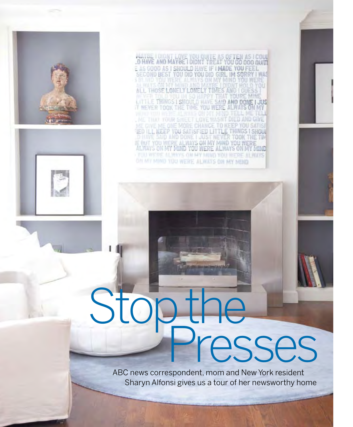





MATEL I DIDN'T LOVE YOU QUITE AS OF TEN AS I COUL<br>-D HAVE AND MAYBE I DIDN'T TREAT YOU OO OOO QUITE<br>E AS GOOD AS I SHOULD HAVE IF I MADE YOU FEEL.<br>SECOND BEST YOU DID YOU DID GIRL. IM SORRY I WAS ALL THOSE LONELY LONELY TIMES AND LITTLE THINGS I SHOULD HAVE SAID AND DONE I JUST

ME THAT YOUR SITEET LOVE HASN'T DIED AND GI TED ILL KEEP YOU SATISFIED LITTLE THINGS I SHOUL IE BUT YOU WERE ALWAYS ON MY MIND YOU WERE ALWAYS ON MY MIND **FOU WERE ALWAYS ON MY MIND YOU WERE ALWAYS** ON MY MIND TOU WERE ALWAYS ON MY MIND.

## esses

ABC news correspondent, mom and New York resident Sharyn Alfonsi gives us a tour of her newsworthy home

64 playgroundfall 2010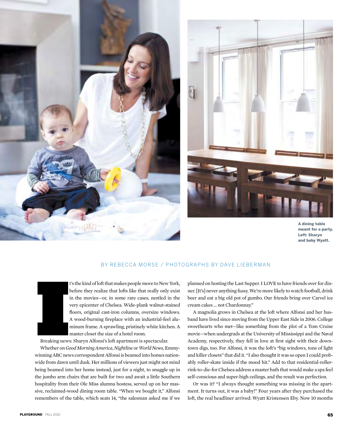



A dining table meant for a party. Left: Sharyn and baby Wyatt.

## BY REBECCA MORSE / PHOTOGRAPHS BY DAVE LIEBERMAN



t's the kind of loft that makes people move to New York, before they realize that lofts like that really only exist in the movies—or, in some rare cases, nestled in the very epicenter of Chelsea. Wide-plank walnut-stained floors, original cast-iron columns, oversize windows. A wood-burning fireplace with an industrial-feel aluminum frame. A sprawling, pristinely white kitchen. A master closet the size of a hotel room.

Breaking news: Sharyn Alfonsi's loft apartment is spectacular.

Whether on *Good Morning America*, *Nightline* or *World News*, Emmywinning ABC news correspondent Alfonsi is beamed into homes nationwide from dawn until dusk. Her millions of viewers just might not mind being beamed into her home instead, just for a night, to snuggle up in the jumbo arm chairs that are built for two and await a little Southern hospitality from their Ole Miss alumna hostess, served up on her massive, reclaimed-wood dining room table. "When we bought it," Alfonsi remembers of the table, which seats 14, "the salesman asked me if we planned on hosting the Last Supper. I LOVE to have friends over for dinner. [It's] never anything fussy. We're more likely to watch football, drink beer and eat a big old pot of gumbo. Our friends bring over Carvel ice cream cakes … not Chardonnay."

A magnolia grows in Chelsea at the loft where Alfonsi and her husband have lived since moving from the Upper East Side in 2006. College sweethearts who met—like something from the plot of a Tom Cruise movie—when undergrads at the University of Mississippi and the Naval Academy, respectively, they fell in love at first sight with their downtown digs, too. For Alfonsi, it was the loft's "big windows, tons of light and killer closets" that did it. "I also thought it was so open I could probably roller-skate inside if the mood hit." Add to that residential-rollerrink-to-die-for Chelsea address a master bath that would make a spa feel self-conscious and super-high ceilings, and the result was perfection.

Or was it? "I always thought something was missing in the apartment. It turns out, it was a baby!" Four years after they purchased the loft, the real headliner arrived: Wyatt Kristensen Eby. Now 10 months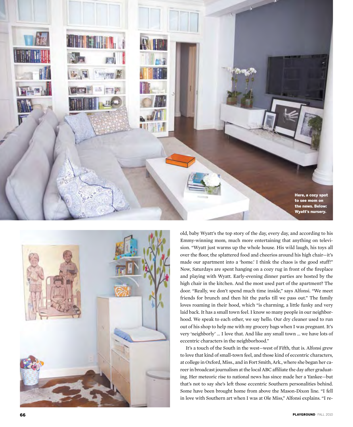



old, baby Wyatt's the top story of the day, every day, and according to his Emmy-winning mom, much more entertaining that anything on televi sion. "Wyatt just warms up the whole house. His wild laugh, his toys all over the floor, the splattered food and cheerios around his high chair—it's made our apartment into a 'home.' I think the chaos is the good stuff!" Now, Saturdays are spent hanging on a cozy rug in front of the fireplace and playing with Wyatt. Early-evening dinner parties are hosted by the high chair in the kitchen. And the most used part of the apartment? The door. "Really, we don't spend much time inside," says Alfonsi. "We meet friends for brunch and then hit the parks till we pass out." The family loves roaming in their hood, which "is charming, a little funky and very laid back. It has a small town feel. I know so many people in our neighbor hood. We speak to each other, we say hello. Our dry cleaner used to run out of his shop to help me with my grocery bags when I was pregnant. It's very 'neighborly' … I love that. And like any small town … we have lots of eccentric characters in the neighborhood."

It's a touch of the South in the west—west of Fifth, that is. Alfonsi grew to love that kind of small-town feel, and those kind of eccentric characters, at college in Oxford, Miss., and in Fort Smith, Ark., where she began her ca reer in broadcast journalism at the local ABC affiliate the day after graduat ing. Her meteoric rise to national news has since made her a Yankee—but that's not to say she's left those eccentric Southern personalities behind. Some have been brought home from above the Mason-Dixon line. "I fell in love with Southern art when I was at Ole Miss," Alfonsi explains. "I re -